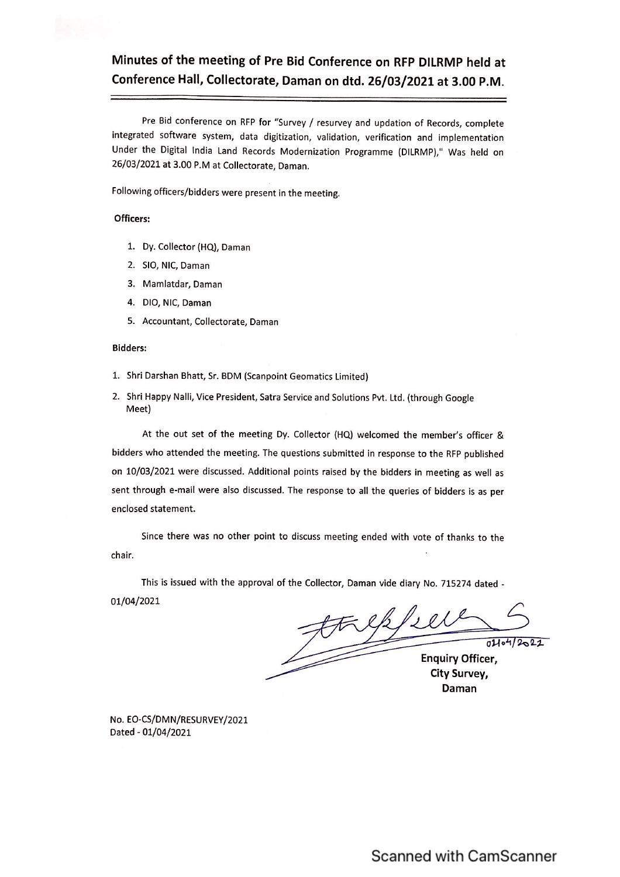### Minutes of the meeting of Pre Bid Conference on RFP DILRMP held at Conference Hall, Collectorate, Daman on dtd. 26/03/2021 at 3.00 P.M.

Pre Bid conference on RFP for "Survey / resurvey and updation of Records, complete integrated software system, data digitization, validation, verification and implementation Under the Digital India Land Records Modernization Programme (DILRMP)," Was held on 26/03/2021 at 3.00 P.M at Collectorate, Daman.

Following officers/bidders were present in the meeting.

#### Officers:

- 1. Dy. Collector (HQ), Daman
- 2. SIO, NIC, Daman
- 3. Mamlatdar, Daman
- 4. DIO, NIC, Daman
- 5. Accountant, Collectorate, Daman

#### **Bidders:**

- 1. Shri Darshan Bhatt, Sr. BDM (Scanpoint Geomatics Limited)
- 2. Shri Happy Nalli, Vice President, Satra Service and Solutions Pvt. Ltd. (through Google Meet)

At the out set of the meeting Dy. Collector (HQ) welcomed the member's officer & bidders who attended the meeting. The questions submitted in response to the RFP published on 10/03/2021 were discussed. Additional points raised by the bidders in meeting as well as sent through e-mail were also discussed. The response to all the queries of bidders is as per enclosed statement.

Since there was no other point to discuss meeting ended with vote of thanks to the chair.

This is issued with the approval of the Collector, Daman vide diary No. 715274 dated -01/04/2021

treffee  $01104/2022$ **Enquiry Officer,** 

**City Survey,** Daman

No. EO-CS/DMN/RESURVEY/2021 Dated - 01/04/2021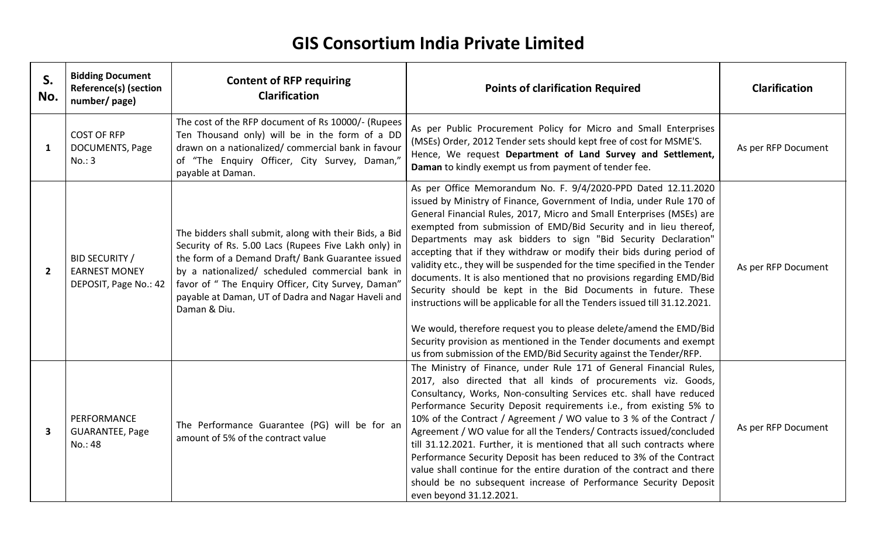## **GIS Consortium India Private Limited**

| S.<br>No.               | <b>Bidding Document</b><br><b>Reference(s) (section</b><br>number/page) | <b>Content of RFP requiring</b><br><b>Clarification</b>                                                                                                                                                                                                                                                                                             | <b>Points of clarification Required</b>                                                                                                                                                                                                                                                                                                                                                                                                                                                                                                                                                                                                                                                                                                                                                                                                                                                                                                                 | <b>Clarification</b> |
|-------------------------|-------------------------------------------------------------------------|-----------------------------------------------------------------------------------------------------------------------------------------------------------------------------------------------------------------------------------------------------------------------------------------------------------------------------------------------------|---------------------------------------------------------------------------------------------------------------------------------------------------------------------------------------------------------------------------------------------------------------------------------------------------------------------------------------------------------------------------------------------------------------------------------------------------------------------------------------------------------------------------------------------------------------------------------------------------------------------------------------------------------------------------------------------------------------------------------------------------------------------------------------------------------------------------------------------------------------------------------------------------------------------------------------------------------|----------------------|
| $\mathbf{1}$            | <b>COST OF RFP</b><br>DOCUMENTS, Page<br>No.: 3                         | The cost of the RFP document of Rs 10000/- (Rupees<br>Ten Thousand only) will be in the form of a DD<br>drawn on a nationalized/ commercial bank in favour<br>of "The Enquiry Officer, City Survey, Daman,"<br>payable at Daman.                                                                                                                    | As per Public Procurement Policy for Micro and Small Enterprises<br>(MSEs) Order, 2012 Tender sets should kept free of cost for MSME'S.<br>Hence, We request Department of Land Survey and Settlement,<br>Daman to kindly exempt us from payment of tender fee.                                                                                                                                                                                                                                                                                                                                                                                                                                                                                                                                                                                                                                                                                         | As per RFP Document  |
| $\overline{2}$          | <b>BID SECURITY /</b><br><b>EARNEST MONEY</b><br>DEPOSIT, Page No.: 42  | The bidders shall submit, along with their Bids, a Bid<br>Security of Rs. 5.00 Lacs (Rupees Five Lakh only) in<br>the form of a Demand Draft/ Bank Guarantee issued<br>by a nationalized/ scheduled commercial bank in<br>favor of " The Enquiry Officer, City Survey, Daman"<br>payable at Daman, UT of Dadra and Nagar Haveli and<br>Daman & Diu. | As per Office Memorandum No. F. 9/4/2020-PPD Dated 12.11.2020<br>issued by Ministry of Finance, Government of India, under Rule 170 of<br>General Financial Rules, 2017, Micro and Small Enterprises (MSEs) are<br>exempted from submission of EMD/Bid Security and in lieu thereof,<br>Departments may ask bidders to sign "Bid Security Declaration"<br>accepting that if they withdraw or modify their bids during period of<br>validity etc., they will be suspended for the time specified in the Tender<br>documents. It is also mentioned that no provisions regarding EMD/Bid<br>Security should be kept in the Bid Documents in future. These<br>instructions will be applicable for all the Tenders issued till 31.12.2021.<br>We would, therefore request you to please delete/amend the EMD/Bid<br>Security provision as mentioned in the Tender documents and exempt<br>us from submission of the EMD/Bid Security against the Tender/RFP. | As per RFP Document  |
| $\overline{\mathbf{3}}$ | PERFORMANCE<br><b>GUARANTEE, Page</b><br>No.: 48                        | The Performance Guarantee (PG) will be for an<br>amount of 5% of the contract value                                                                                                                                                                                                                                                                 | The Ministry of Finance, under Rule 171 of General Financial Rules,<br>2017, also directed that all kinds of procurements viz. Goods,<br>Consultancy, Works, Non-consulting Services etc. shall have reduced<br>Performance Security Deposit requirements i.e., from existing 5% to<br>10% of the Contract / Agreement / WO value to 3 % of the Contract /<br>Agreement / WO value for all the Tenders/ Contracts issued/concluded<br>till 31.12.2021. Further, it is mentioned that all such contracts where<br>Performance Security Deposit has been reduced to 3% of the Contract<br>value shall continue for the entire duration of the contract and there<br>should be no subsequent increase of Performance Security Deposit<br>even beyond 31.12.2021.                                                                                                                                                                                           | As per RFP Document  |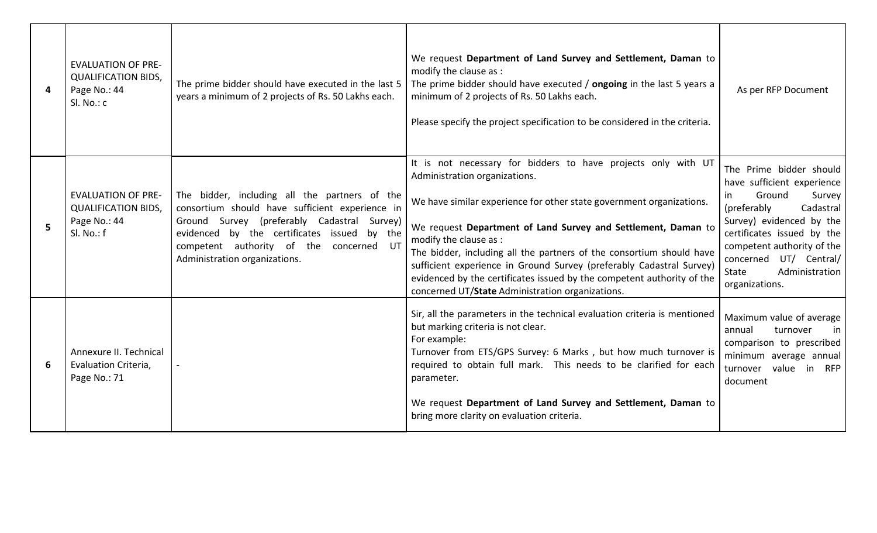| 4 | <b>EVALUATION OF PRE-</b><br><b>QUALIFICATION BIDS,</b><br>Page No.: 44<br>Sl. No.: c | The prime bidder should have executed in the last 5<br>years a minimum of 2 projects of Rs. 50 Lakhs each.                                                                                                                                                                    | We request Department of Land Survey and Settlement, Daman to<br>modify the clause as :<br>The prime bidder should have executed / ongoing in the last 5 years a<br>minimum of 2 projects of Rs. 50 Lakhs each.<br>Please specify the project specification to be considered in the criteria.                                                                                                                                                                                                                                                   | As per RFP Document                                                                                                                                                                                                                                                         |
|---|---------------------------------------------------------------------------------------|-------------------------------------------------------------------------------------------------------------------------------------------------------------------------------------------------------------------------------------------------------------------------------|-------------------------------------------------------------------------------------------------------------------------------------------------------------------------------------------------------------------------------------------------------------------------------------------------------------------------------------------------------------------------------------------------------------------------------------------------------------------------------------------------------------------------------------------------|-----------------------------------------------------------------------------------------------------------------------------------------------------------------------------------------------------------------------------------------------------------------------------|
| 5 | <b>EVALUATION OF PRE-</b><br><b>QUALIFICATION BIDS,</b><br>Page No.: 44<br>Sl. No.: f | The bidder, including all the partners of the<br>consortium should have sufficient experience in<br>Ground Survey (preferably Cadastral Survey)<br>evidenced by the certificates issued by the<br>competent authority of the<br>concerned UT<br>Administration organizations. | It is not necessary for bidders to have projects only with UT<br>Administration organizations.<br>We have similar experience for other state government organizations.<br>We request Department of Land Survey and Settlement, Daman to<br>modify the clause as :<br>The bidder, including all the partners of the consortium should have<br>sufficient experience in Ground Survey (preferably Cadastral Survey)<br>evidenced by the certificates issued by the competent authority of the<br>concerned UT/State Administration organizations. | The Prime bidder should<br>have sufficient experience<br>Ground<br>Survey<br>in.<br>(preferably<br>Cadastral<br>Survey) evidenced by the<br>certificates issued by the<br>competent authority of the<br>concerned UT/ Central/<br>Administration<br>State<br>organizations. |
| 6 | Annexure II. Technical<br>Evaluation Criteria,<br>Page No.: 71                        |                                                                                                                                                                                                                                                                               | Sir, all the parameters in the technical evaluation criteria is mentioned<br>but marking criteria is not clear.<br>For example:<br>Turnover from ETS/GPS Survey: 6 Marks, but how much turnover is<br>required to obtain full mark. This needs to be clarified for each<br>parameter.<br>We request Department of Land Survey and Settlement, Daman to<br>bring more clarity on evaluation criteria.                                                                                                                                            | Maximum value of average<br>annual<br>turnover<br>in<br>comparison to prescribed<br>minimum average annual<br>value in RFP<br>turnover<br>document                                                                                                                          |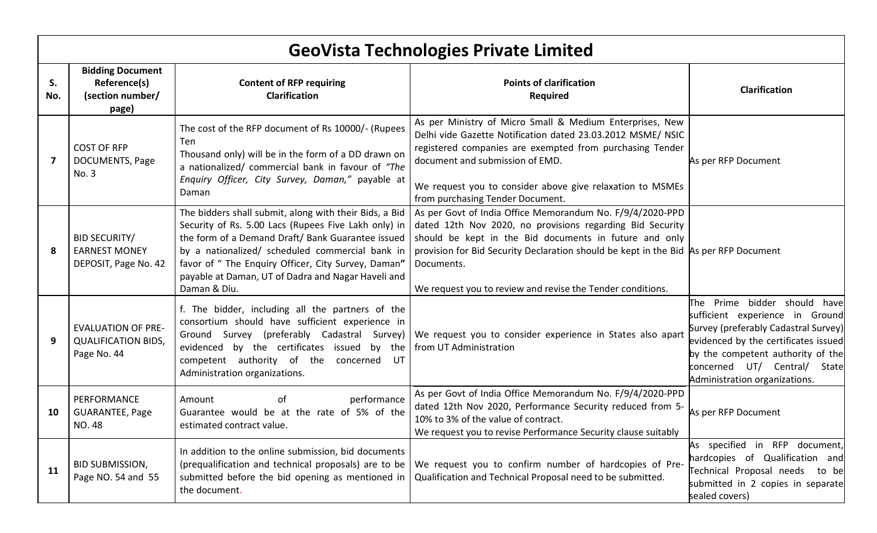|           | <b>GeoVista Technologies Private Limited</b>                           |                                                                                                                                                                                                                                                                                                                                                     |                                                                                                                                                                                                                                                                                                                                                      |                                                                                                                                                                                                                                                       |
|-----------|------------------------------------------------------------------------|-----------------------------------------------------------------------------------------------------------------------------------------------------------------------------------------------------------------------------------------------------------------------------------------------------------------------------------------------------|------------------------------------------------------------------------------------------------------------------------------------------------------------------------------------------------------------------------------------------------------------------------------------------------------------------------------------------------------|-------------------------------------------------------------------------------------------------------------------------------------------------------------------------------------------------------------------------------------------------------|
| S.<br>No. | <b>Bidding Document</b><br>Reference(s)<br>(section number/<br>page)   | <b>Content of RFP requiring</b><br><b>Clarification</b>                                                                                                                                                                                                                                                                                             | <b>Points of clarification</b><br><b>Required</b>                                                                                                                                                                                                                                                                                                    | <b>Clarification</b>                                                                                                                                                                                                                                  |
| 7         | <b>COST OF RFP</b><br>DOCUMENTS, Page<br>No. 3                         | The cost of the RFP document of Rs 10000/- (Rupees<br><b>Ten</b><br>Thousand only) will be in the form of a DD drawn on<br>a nationalized/ commercial bank in favour of "The<br>Enquiry Officer, City Survey, Daman," payable at<br>Daman                                                                                                           | As per Ministry of Micro Small & Medium Enterprises, New<br>Delhi vide Gazette Notification dated 23.03.2012 MSME/ NSIC<br>registered companies are exempted from purchasing Tender<br>document and submission of EMD.<br>We request you to consider above give relaxation to MSMEs<br>from purchasing Tender Document.                              | As per RFP Document                                                                                                                                                                                                                                   |
| -8        | <b>BID SECURITY/</b><br><b>EARNEST MONEY</b><br>DEPOSIT, Page No. 42   | The bidders shall submit, along with their Bids, a Bid<br>Security of Rs. 5.00 Lacs (Rupees Five Lakh only) in<br>the form of a Demand Draft/ Bank Guarantee issued<br>by a nationalized/ scheduled commercial bank in<br>favor of " The Enquiry Officer, City Survey, Daman"<br>payable at Daman, UT of Dadra and Nagar Haveli and<br>Daman & Diu. | As per Govt of India Office Memorandum No. F/9/4/2020-PPD<br>dated 12th Nov 2020, no provisions regarding Bid Security<br>should be kept in the Bid documents in future and only<br>provision for Bid Security Declaration should be kept in the Bid As per RFP Document<br>Documents.<br>We request you to review and revise the Tender conditions. |                                                                                                                                                                                                                                                       |
| 9         | <b>EVALUATION OF PRE-</b><br><b>QUALIFICATION BIDS,</b><br>Page No. 44 | f. The bidder, including all the partners of the<br>consortium should have sufficient experience in<br>Ground Survey (preferably Cadastral Survey)<br>evidenced by the certificates issued by the<br>competent authority of the<br>concerned<br>UT<br>Administration organizations.                                                                 | We request you to consider experience in States also apart<br>from UT Administration                                                                                                                                                                                                                                                                 | The Prime bidder should have<br>sufficient experience in Ground<br>Survey (preferably Cadastral Survey)<br>evidenced by the certificates issued<br>by the competent authority of the<br>concerned UT/ Central/ State<br>Administration organizations. |
| 10        | PERFORMANCE<br><b>GUARANTEE, Page</b><br>NO. 48                        | performance<br>Amount<br>οf<br>Guarantee would be at the rate of 5% of the<br>estimated contract value.                                                                                                                                                                                                                                             | As per Govt of India Office Memorandum No. F/9/4/2020-PPD<br>dated 12th Nov 2020, Performance Security reduced from 5-<br>10% to 3% of the value of contract.<br>We request you to revise Performance Security clause suitably                                                                                                                       | As per RFP Document                                                                                                                                                                                                                                   |
| 11        | <b>BID SUBMISSION,</b><br>Page NO. 54 and 55                           | In addition to the online submission, bid documents<br>(prequalification and technical proposals) are to be<br>submitted before the bid opening as mentioned in<br>the document.                                                                                                                                                                    | We request you to confirm number of hardcopies of Pre-<br>Qualification and Technical Proposal need to be submitted.                                                                                                                                                                                                                                 | As specified in RFP document,<br>hardcopies of Qualification and<br>Technical Proposal needs<br>to be<br>submitted in 2 copies in separate<br>sealed covers)                                                                                          |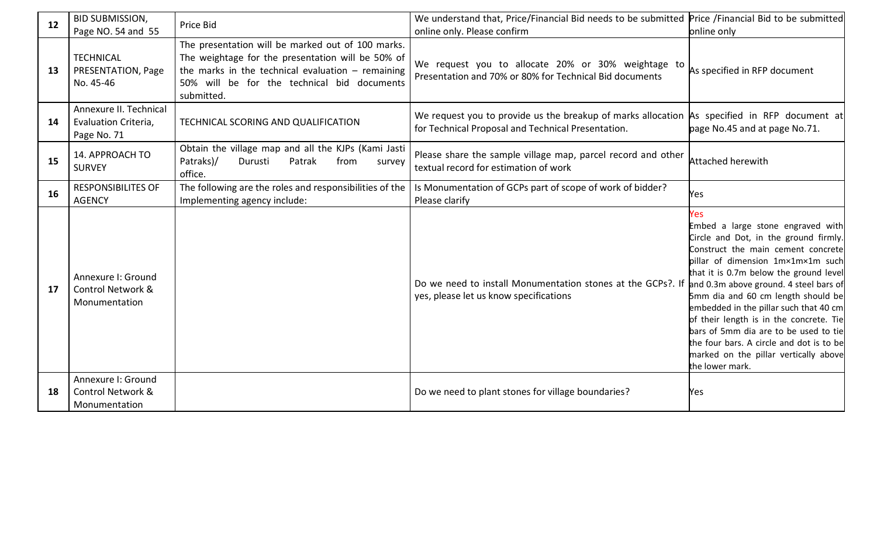| 12 | <b>BID SUBMISSION,</b><br>Page NO. 54 and 55                        | Price Bid                                                                                                                                                                                                                  | We understand that, Price/Financial Bid needs to be submitted Price /Financial Bid to be submitted<br>online only. Please confirm                  | online only                                                                                                                                                                                                                                                                                                                                                                                                                                                                        |
|----|---------------------------------------------------------------------|----------------------------------------------------------------------------------------------------------------------------------------------------------------------------------------------------------------------------|----------------------------------------------------------------------------------------------------------------------------------------------------|------------------------------------------------------------------------------------------------------------------------------------------------------------------------------------------------------------------------------------------------------------------------------------------------------------------------------------------------------------------------------------------------------------------------------------------------------------------------------------|
| 13 | <b>TECHNICAL</b><br>PRESENTATION, Page<br>No. 45-46                 | The presentation will be marked out of 100 marks.<br>The weightage for the presentation will be 50% of<br>the marks in the technical evaluation $-$ remaining<br>50% will be for the technical bid documents<br>submitted. | We request you to allocate 20% or 30% weightage to<br>Presentation and 70% or 80% for Technical Bid documents                                      | As specified in RFP document                                                                                                                                                                                                                                                                                                                                                                                                                                                       |
| 14 | Annexure II. Technical<br>Evaluation Criteria,<br>Page No. 71       | TECHNICAL SCORING AND QUALIFICATION                                                                                                                                                                                        | We request you to provide us the breakup of marks allocation As specified in RFP document at<br>for Technical Proposal and Technical Presentation. | page No.45 and at page No.71.                                                                                                                                                                                                                                                                                                                                                                                                                                                      |
| 15 | 14. APPROACH TO<br><b>SURVEY</b>                                    | Obtain the village map and all the KJPs (Kami Jasti<br>Patraks)/<br>Durusti<br>Patrak<br>from<br>survey<br>office.                                                                                                         | Please share the sample village map, parcel record and other<br>textual record for estimation of work                                              | Attached herewith                                                                                                                                                                                                                                                                                                                                                                                                                                                                  |
| 16 | <b>RESPONSIBILITES OF</b><br><b>AGENCY</b>                          | The following are the roles and responsibilities of the<br>Implementing agency include:                                                                                                                                    | Is Monumentation of GCPs part of scope of work of bidder?<br>Please clarify                                                                        | Yes                                                                                                                                                                                                                                                                                                                                                                                                                                                                                |
| 17 | Annexure I: Ground<br>Control Network &<br>Monumentation            |                                                                                                                                                                                                                            | Do we need to install Monumentation stones at the GCPs?. If and 0.3m above ground. 4 steel bars of<br>yes, please let us know specifications       | Yes<br>Embed a large stone engraved with<br>Circle and Dot, in the ground firmly.<br>Construct the main cement concrete<br>pillar of dimension 1m×1m×1m such<br>that it is 0.7m below the ground level<br>5mm dia and 60 cm length should be<br>embedded in the pillar such that 40 cm<br>of their length is in the concrete. Tie<br>bars of 5mm dia are to be used to tie<br>the four bars. A circle and dot is to be<br>marked on the pillar vertically above<br>the lower mark. |
| 18 | Annexure I: Ground<br><b>Control Network &amp;</b><br>Monumentation |                                                                                                                                                                                                                            | Do we need to plant stones for village boundaries?                                                                                                 | Yes                                                                                                                                                                                                                                                                                                                                                                                                                                                                                |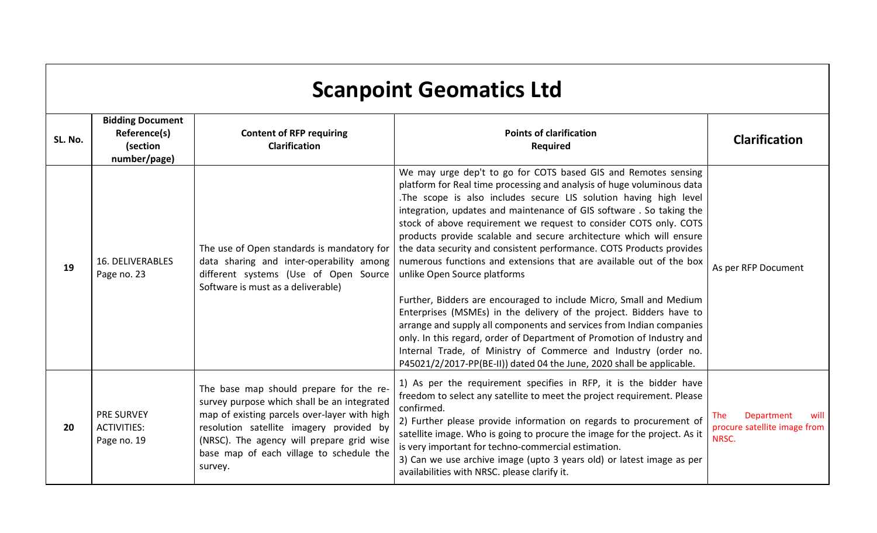|         | <b>Scanpoint Geomatics Ltd</b>                                      |                                                                                                                                                                                                                                                                                        |                                                                                                                                                                                                                                                                                                                                                                                                                                                                                                                                                                                                                                                                                                                                                                                                                                                                                                                                                                                                                                                            |                                                                           |  |  |
|---------|---------------------------------------------------------------------|----------------------------------------------------------------------------------------------------------------------------------------------------------------------------------------------------------------------------------------------------------------------------------------|------------------------------------------------------------------------------------------------------------------------------------------------------------------------------------------------------------------------------------------------------------------------------------------------------------------------------------------------------------------------------------------------------------------------------------------------------------------------------------------------------------------------------------------------------------------------------------------------------------------------------------------------------------------------------------------------------------------------------------------------------------------------------------------------------------------------------------------------------------------------------------------------------------------------------------------------------------------------------------------------------------------------------------------------------------|---------------------------------------------------------------------------|--|--|
| SL. No. | <b>Bidding Document</b><br>Reference(s)<br>(section<br>number/page) | <b>Content of RFP requiring</b><br><b>Clarification</b>                                                                                                                                                                                                                                | <b>Points of clarification</b><br><b>Required</b>                                                                                                                                                                                                                                                                                                                                                                                                                                                                                                                                                                                                                                                                                                                                                                                                                                                                                                                                                                                                          | <b>Clarification</b>                                                      |  |  |
| 19      | <b>16. DELIVERABLES</b><br>Page no. 23                              | The use of Open standards is mandatory for<br>data sharing and inter-operability among<br>different systems (Use of Open Source<br>Software is must as a deliverable)                                                                                                                  | We may urge dep't to go for COTS based GIS and Remotes sensing<br>platform for Real time processing and analysis of huge voluminous data<br>.The scope is also includes secure LIS solution having high level<br>integration, updates and maintenance of GIS software. So taking the<br>stock of above requirement we request to consider COTS only. COTS<br>products provide scalable and secure architecture which will ensure<br>the data security and consistent performance. COTS Products provides<br>numerous functions and extensions that are available out of the box<br>unlike Open Source platforms<br>Further, Bidders are encouraged to include Micro, Small and Medium<br>Enterprises (MSMEs) in the delivery of the project. Bidders have to<br>arrange and supply all components and services from Indian companies<br>only. In this regard, order of Department of Promotion of Industry and<br>Internal Trade, of Ministry of Commerce and Industry (order no.<br>P45021/2/2017-PP(BE-II)) dated 04 the June, 2020 shall be applicable. | As per RFP Document                                                       |  |  |
| 20      | <b>PRE SURVEY</b><br><b>ACTIVITIES:</b><br>Page no. 19              | The base map should prepare for the re-<br>survey purpose which shall be an integrated<br>map of existing parcels over-layer with high<br>resolution satellite imagery provided by<br>(NRSC). The agency will prepare grid wise<br>base map of each village to schedule the<br>survey. | 1) As per the requirement specifies in RFP, it is the bidder have<br>freedom to select any satellite to meet the project requirement. Please<br>confirmed.<br>2) Further please provide information on regards to procurement of<br>satellite image. Who is going to procure the image for the project. As it<br>is very important for techno-commercial estimation.<br>3) Can we use archive image (upto 3 years old) or latest image as per<br>availabilities with NRSC. please clarify it.                                                                                                                                                                                                                                                                                                                                                                                                                                                                                                                                                              | <b>The</b><br>Department<br>will<br>procure satellite image from<br>NRSC. |  |  |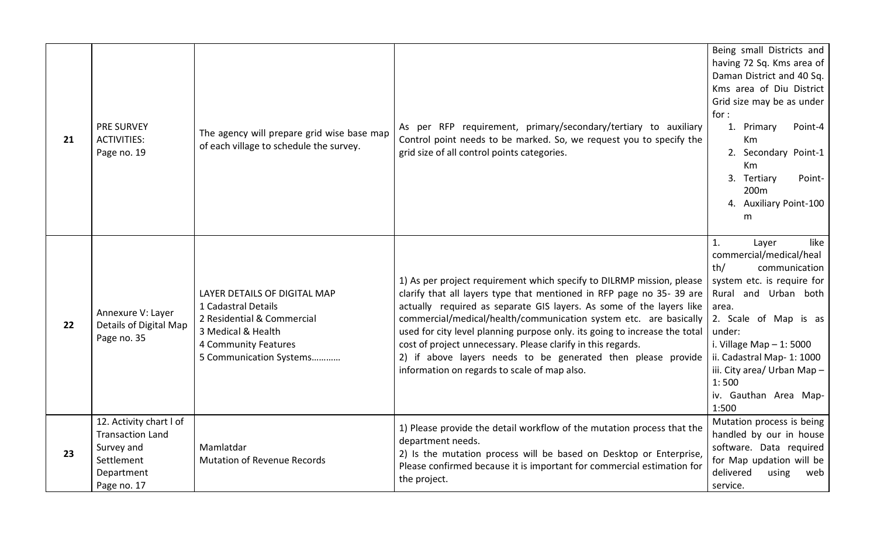| 21 | <b>PRE SURVEY</b><br><b>ACTIVITIES:</b><br>Page no. 19                                                      | The agency will prepare grid wise base map<br>of each village to schedule the survey.                                                                      | As per RFP requirement, primary/secondary/tertiary to auxiliary<br>Control point needs to be marked. So, we request you to specify the<br>grid size of all control points categories.                                                                                                                                                                                                                                                                                                                                                                    | Being small Districts and<br>having 72 Sq. Kms area of<br>Daman District and 40 Sq.<br>Kms area of Diu District<br>Grid size may be as under<br>for:<br>1. Primary<br>Point-4<br>Km<br>2. Secondary Point-1<br>Km<br>3. Tertiary<br>Point-<br>200 <sub>m</sub><br>4. Auxiliary Point-100<br>m                |
|----|-------------------------------------------------------------------------------------------------------------|------------------------------------------------------------------------------------------------------------------------------------------------------------|----------------------------------------------------------------------------------------------------------------------------------------------------------------------------------------------------------------------------------------------------------------------------------------------------------------------------------------------------------------------------------------------------------------------------------------------------------------------------------------------------------------------------------------------------------|--------------------------------------------------------------------------------------------------------------------------------------------------------------------------------------------------------------------------------------------------------------------------------------------------------------|
| 22 | Annexure V: Layer<br>Details of Digital Map<br>Page no. 35                                                  | LAYER DETAILS OF DIGITAL MAP<br>1 Cadastral Details<br>2 Residential & Commercial<br>3 Medical & Health<br>4 Community Features<br>5 Communication Systems | 1) As per project requirement which specify to DILRMP mission, please<br>clarify that all layers type that mentioned in RFP page no 35-39 are<br>actually required as separate GIS layers. As some of the layers like<br>commercial/medical/health/communication system etc. are basically<br>used for city level planning purpose only. its going to increase the total<br>cost of project unnecessary. Please clarify in this regards.<br>2) if above layers needs to be generated then please provide<br>information on regards to scale of map also. | 1.<br>like<br>Layer<br>commercial/medical/heal<br>th/<br>communication<br>system etc. is require for<br>Rural and Urban both<br>area.<br>2. Scale of Map is as<br>under:<br>i. Village Map $-1:5000$<br>ii. Cadastral Map- 1: 1000<br>iii. City area/ Urban Map -<br>1:500<br>iv. Gauthan Area Map-<br>1:500 |
| 23 | 12. Activity chart I of<br><b>Transaction Land</b><br>Survey and<br>Settlement<br>Department<br>Page no. 17 | Mamlatdar<br><b>Mutation of Revenue Records</b>                                                                                                            | 1) Please provide the detail workflow of the mutation process that the<br>department needs.<br>2) Is the mutation process will be based on Desktop or Enterprise,<br>Please confirmed because it is important for commercial estimation for<br>the project.                                                                                                                                                                                                                                                                                              | Mutation process is being<br>handled by our in house<br>software. Data required<br>for Map updation will be<br>delivered<br>using<br>web<br>service.                                                                                                                                                         |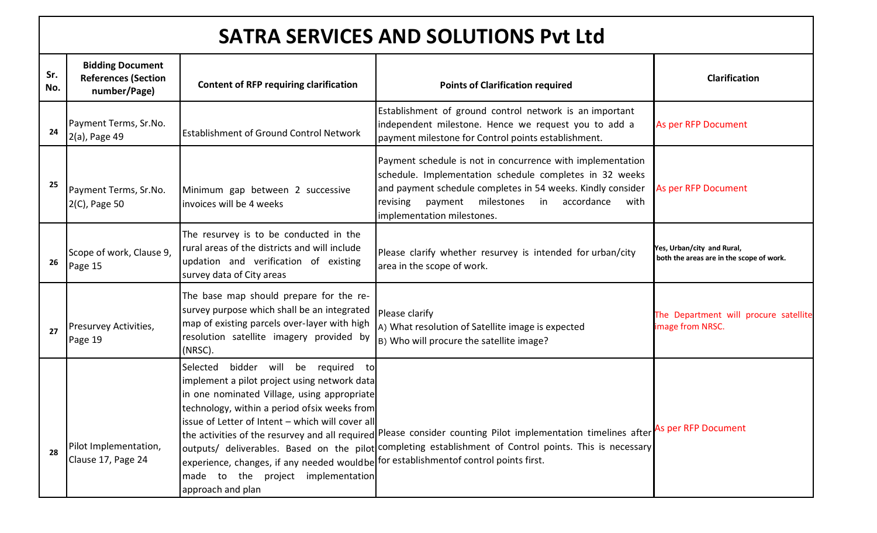# **SATRA SERVICES AND SOLUTIONS Pvt Ltd**

| Sr.<br>No. | <b>Bidding Document</b><br><b>References (Section</b><br>number/Page) | <b>Content of RFP requiring clarification</b>                                                                                                                                                                                                                                                                                                                                                      | <b>Points of Clarification required</b>                                                                                                                                                                                                                                             | <b>Clarification</b>                                                   |
|------------|-----------------------------------------------------------------------|----------------------------------------------------------------------------------------------------------------------------------------------------------------------------------------------------------------------------------------------------------------------------------------------------------------------------------------------------------------------------------------------------|-------------------------------------------------------------------------------------------------------------------------------------------------------------------------------------------------------------------------------------------------------------------------------------|------------------------------------------------------------------------|
| 24         | Payment Terms, Sr.No.<br>2(a), Page 49                                | <b>Establishment of Ground Control Network</b>                                                                                                                                                                                                                                                                                                                                                     | Establishment of ground control network is an important<br>independent milestone. Hence we request you to add a<br>payment milestone for Control points establishment.                                                                                                              | As per RFP Document                                                    |
| 25         | Payment Terms, Sr.No.<br>2(C), Page 50                                | Minimum gap between 2 successive<br>invoices will be 4 weeks                                                                                                                                                                                                                                                                                                                                       | Payment schedule is not in concurrence with implementation<br>schedule. Implementation schedule completes in 32 weeks<br>and payment schedule completes in 54 weeks. Kindly consider<br>milestones<br>revising<br>payment<br>in<br>accordance<br>with<br>implementation milestones. | As per RFP Document                                                    |
| 26         | Scope of work, Clause 9,<br>Page 15                                   | The resurvey is to be conducted in the<br>rural areas of the districts and will include<br>updation and verification of existing<br>survey data of City areas                                                                                                                                                                                                                                      | Please clarify whether resurvey is intended for urban/city<br>area in the scope of work.                                                                                                                                                                                            | Yes, Urban/city and Rural,<br>both the areas are in the scope of work. |
| 27         | Presurvey Activities,<br>Page 19                                      | The base map should prepare for the re-<br>survey purpose which shall be an integrated<br>map of existing parcels over-layer with high<br>resolution satellite imagery provided by<br>(NRSC).                                                                                                                                                                                                      | Please clarify<br>A) What resolution of Satellite image is expected<br>B) Who will procure the satellite image?                                                                                                                                                                     | The Department will procure satellite<br>image from NRSC.              |
| 28         | Pilot Implementation,<br>Clause 17, Page 24                           | bidder will be required to<br>Selected<br>implement a pilot project using network data<br>in one nominated Village, using appropriate<br>technology, within a period ofsix weeks from<br>issue of Letter of Intent - which will cover all<br>experience, changes, if any needed wouldbe for establishmentof control points first.<br>the project implementation<br>made<br>to<br>approach and plan | the activities of the resurvey and all required Please consider counting Pilot implementation timelines after<br>outputs/ deliverables. Based on the pilot completing establishment of Control points. This is necessary                                                            | As per RFP Document                                                    |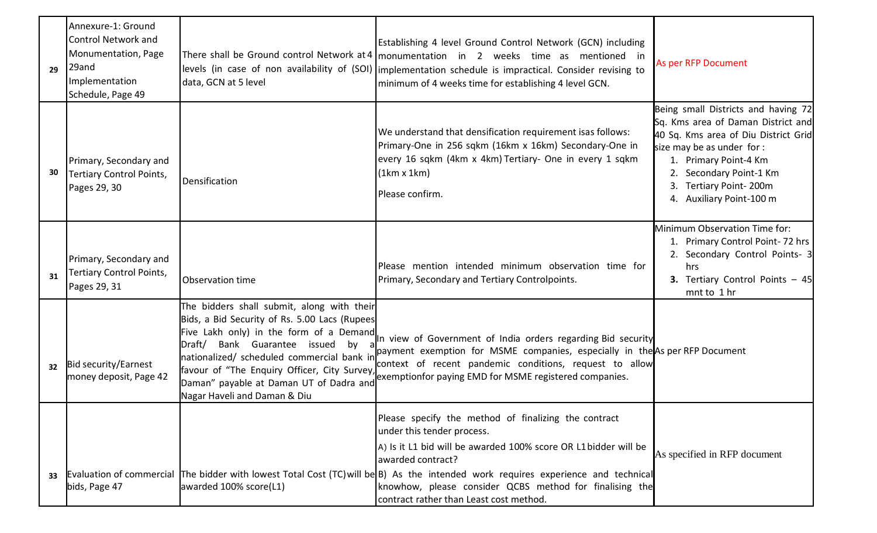| 29 | Annexure-1: Ground<br><b>Control Network and</b><br>Monumentation, Page<br>29and<br>Implementation<br>Schedule, Page 49 | data, GCN at 5 level                                                                                                                                                                                                      | Establishing 4 level Ground Control Network (GCN) including<br>There shall be Ground control Network at 4   monumentation in 2 weeks time as mentioned in<br>levels (in case of non availability of (SOI)   implementation schedule is impractical. Consider revising to<br>minimum of 4 weeks time for establishing 4 level GCN.                                                                                     | As per RFP Document                                                                                                                                                                                                                                         |
|----|-------------------------------------------------------------------------------------------------------------------------|---------------------------------------------------------------------------------------------------------------------------------------------------------------------------------------------------------------------------|-----------------------------------------------------------------------------------------------------------------------------------------------------------------------------------------------------------------------------------------------------------------------------------------------------------------------------------------------------------------------------------------------------------------------|-------------------------------------------------------------------------------------------------------------------------------------------------------------------------------------------------------------------------------------------------------------|
| 30 | Primary, Secondary and<br>Tertiary Control Points,<br>Pages 29, 30                                                      | Densification                                                                                                                                                                                                             | We understand that densification requirement isas follows:<br>Primary-One in 256 sqkm (16km x 16km) Secondary-One in<br>every 16 sqkm (4km x 4km) Tertiary- One in every 1 sqkm<br>(1km x 1km)<br>Please confirm.                                                                                                                                                                                                     | Being small Districts and having 72<br>Sq. Kms area of Daman District and<br>40 Sq. Kms area of Diu District Grid<br>size may be as under for:<br>1. Primary Point-4 Km<br>2. Secondary Point-1 Km<br>Tertiary Point-200m<br>3.<br>4. Auxiliary Point-100 m |
| 31 | Primary, Secondary and<br><b>Tertiary Control Points,</b><br>Pages 29, 31                                               | Observation time                                                                                                                                                                                                          | Please mention intended minimum observation time for<br>Primary, Secondary and Tertiary Controlpoints.                                                                                                                                                                                                                                                                                                                | Minimum Observation Time for:<br>1. Primary Control Point-72 hrs<br>2. Secondary Control Points- 3<br>hrs<br>3. Tertiary Control Points - 45<br>mnt to 1 hr                                                                                                 |
| 32 | Bid security/Earnest<br>money deposit, Page 42                                                                          | The bidders shall submit, along with their<br>Bids, a Bid Security of Rs. 5.00 Lacs (Rupees<br>nationalized/ scheduled commercial bank in<br>favour of "The Enquiry Officer, City Survey,<br>Nagar Haveli and Daman & Diu | Five Lakh only) in the form of a Demand In view of Government of India orders regarding Bid security<br>payment exemption for MSME companies, especially in the As per RFP Document<br>context of recent pandemic conditions, request to allow<br>Daman" payable at Daman UT of Dadra and exemptionfor paying EMD for MSME registered companies.                                                                      |                                                                                                                                                                                                                                                             |
| 33 | bids, Page 47                                                                                                           | awarded 100% score(L1)                                                                                                                                                                                                    | Please specify the method of finalizing the contract<br>under this tender process.<br>A) Is it L1 bid will be awarded 100% score OR L1 bidder will be<br>awarded contract?<br>Evaluation of commercial The bidder with lowest Total Cost (TC) will be B) As the intended work requires experience and technical<br>knowhow, please consider QCBS method for finalising the<br>contract rather than Least cost method. | As specified in RFP document                                                                                                                                                                                                                                |